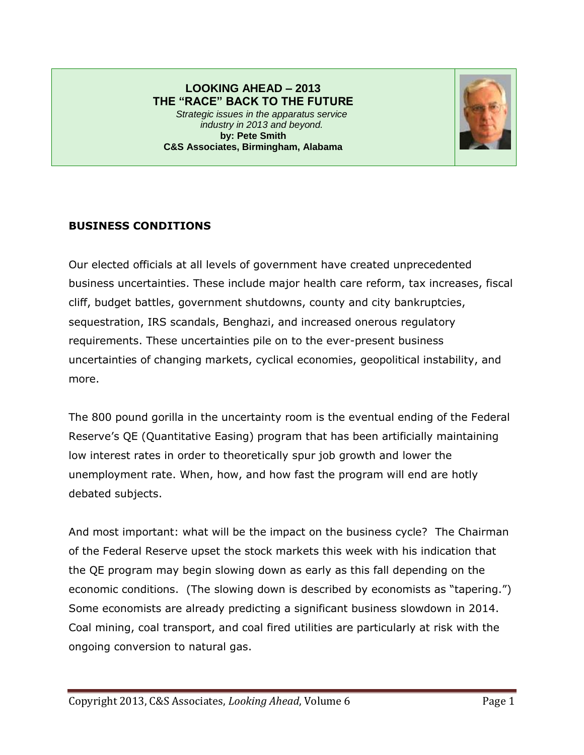#### **LOOKING AHEAD – 2013 THE "RACE" BACK TO THE FUTURE** *Strategic issues in the apparatus service industry in 2013 and beyond.* **by: Pete Smith C&S Associates, Birmingham, Alabama**



# **BUSINESS CONDITIONS**

Our elected officials at all levels of government have created unprecedented business uncertainties. These include major health care reform, tax increases, fiscal cliff, budget battles, government shutdowns, county and city bankruptcies, sequestration, IRS scandals, Benghazi, and increased onerous regulatory requirements. These uncertainties pile on to the ever-present business uncertainties of changing markets, cyclical economies, geopolitical instability, and more.

The 800 pound gorilla in the uncertainty room is the eventual ending of the Federal Reserve's QE (Quantitative Easing) program that has been artificially maintaining low interest rates in order to theoretically spur job growth and lower the unemployment rate. When, how, and how fast the program will end are hotly debated subjects.

And most important: what will be the impact on the business cycle? The Chairman of the Federal Reserve upset the stock markets this week with his indication that the QE program may begin slowing down as early as this fall depending on the economic conditions. (The slowing down is described by economists as "tapering.") Some economists are already predicting a significant business slowdown in 2014. Coal mining, coal transport, and coal fired utilities are particularly at risk with the ongoing conversion to natural gas.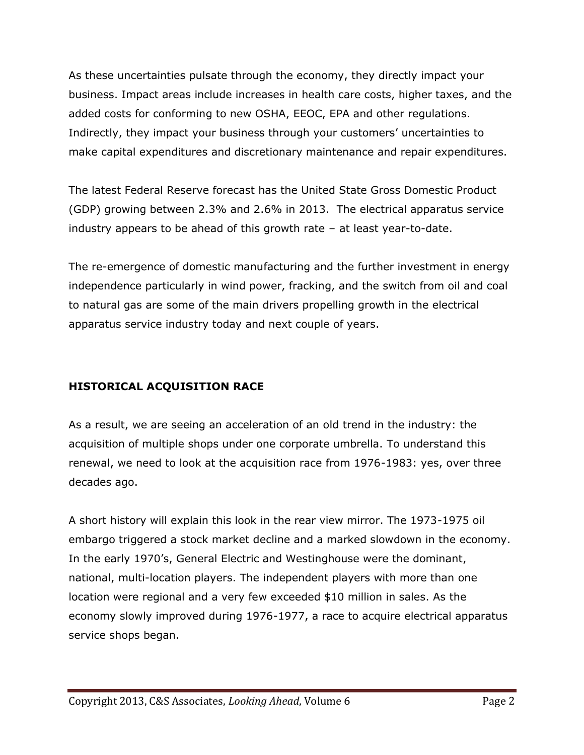As these uncertainties pulsate through the economy, they directly impact your business. Impact areas include increases in health care costs, higher taxes, and the added costs for conforming to new OSHA, EEOC, EPA and other regulations. Indirectly, they impact your business through your customers' uncertainties to make capital expenditures and discretionary maintenance and repair expenditures.

The latest Federal Reserve forecast has the United State Gross Domestic Product (GDP) growing between 2.3% and 2.6% in 2013. The electrical apparatus service industry appears to be ahead of this growth rate – at least year-to-date.

The re-emergence of domestic manufacturing and the further investment in energy independence particularly in wind power, fracking, and the switch from oil and coal to natural gas are some of the main drivers propelling growth in the electrical apparatus service industry today and next couple of years.

# **HISTORICAL ACQUISITION RACE**

As a result, we are seeing an acceleration of an old trend in the industry: the acquisition of multiple shops under one corporate umbrella. To understand this renewal, we need to look at the acquisition race from 1976-1983: yes, over three decades ago.

A short history will explain this look in the rear view mirror. The 1973-1975 oil embargo triggered a stock market decline and a marked slowdown in the economy. In the early 1970's, General Electric and Westinghouse were the dominant, national, multi-location players. The independent players with more than one location were regional and a very few exceeded \$10 million in sales. As the economy slowly improved during 1976-1977, a race to acquire electrical apparatus service shops began.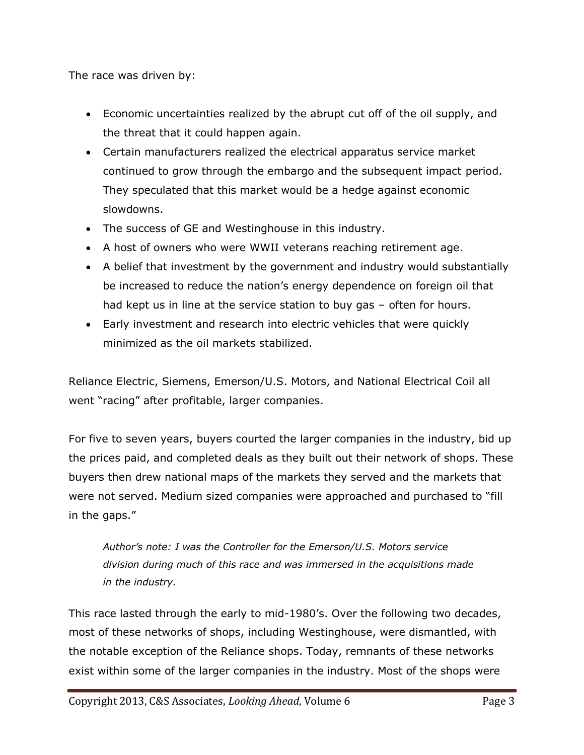The race was driven by:

- Economic uncertainties realized by the abrupt cut off of the oil supply, and the threat that it could happen again.
- Certain manufacturers realized the electrical apparatus service market continued to grow through the embargo and the subsequent impact period. They speculated that this market would be a hedge against economic slowdowns.
- The success of GE and Westinghouse in this industry.
- A host of owners who were WWII veterans reaching retirement age.
- A belief that investment by the government and industry would substantially be increased to reduce the nation's energy dependence on foreign oil that had kept us in line at the service station to buy gas – often for hours.
- Early investment and research into electric vehicles that were quickly minimized as the oil markets stabilized.

Reliance Electric, Siemens, Emerson/U.S. Motors, and National Electrical Coil all went "racing" after profitable, larger companies.

For five to seven years, buyers courted the larger companies in the industry, bid up the prices paid, and completed deals as they built out their network of shops. These buyers then drew national maps of the markets they served and the markets that were not served. Medium sized companies were approached and purchased to "fill in the gaps."

*Author's note: I was the Controller for the Emerson/U.S. Motors service division during much of this race and was immersed in the acquisitions made in the industry.*

This race lasted through the early to mid-1980's. Over the following two decades, most of these networks of shops, including Westinghouse, were dismantled, with the notable exception of the Reliance shops. Today, remnants of these networks exist within some of the larger companies in the industry. Most of the shops were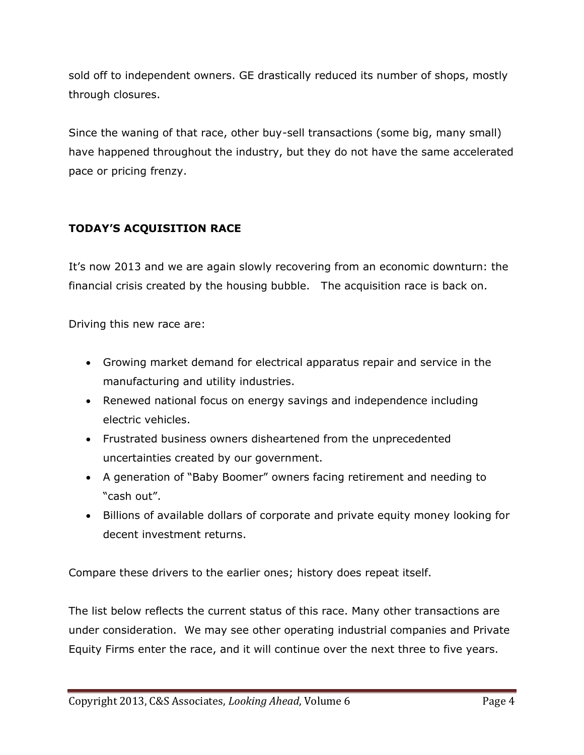sold off to independent owners. GE drastically reduced its number of shops, mostly through closures.

Since the waning of that race, other buy-sell transactions (some big, many small) have happened throughout the industry, but they do not have the same accelerated pace or pricing frenzy.

# **TODAY'S ACQUISITION RACE**

It's now 2013 and we are again slowly recovering from an economic downturn: the financial crisis created by the housing bubble. The acquisition race is back on.

Driving this new race are:

- Growing market demand for electrical apparatus repair and service in the manufacturing and utility industries.
- Renewed national focus on energy savings and independence including electric vehicles.
- Frustrated business owners disheartened from the unprecedented uncertainties created by our government.
- A generation of "Baby Boomer" owners facing retirement and needing to "cash out".
- Billions of available dollars of corporate and private equity money looking for decent investment returns.

Compare these drivers to the earlier ones; history does repeat itself.

The list below reflects the current status of this race. Many other transactions are under consideration. We may see other operating industrial companies and Private Equity Firms enter the race, and it will continue over the next three to five years.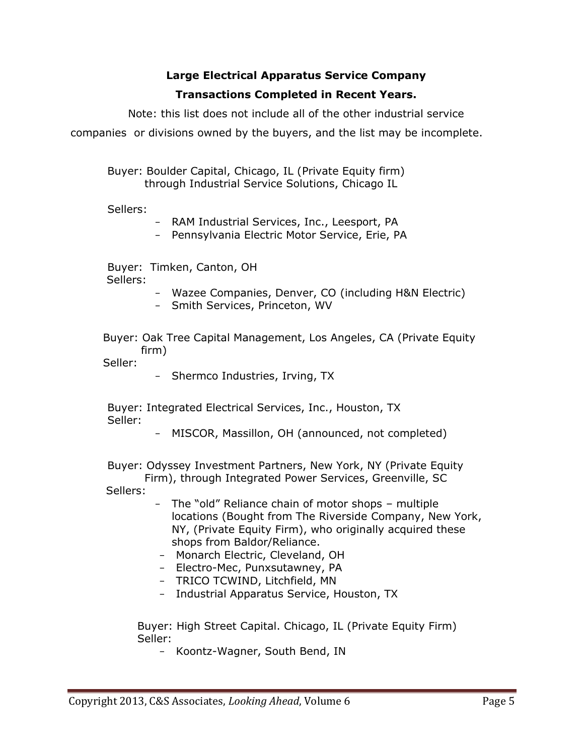# **Large Electrical Apparatus Service Company Transactions Completed in Recent Years.**

Note: this list does not include all of the other industrial service companies or divisions owned by the buyers, and the list may be incomplete.

Buyer: Boulder Capital, Chicago, IL (Private Equity firm) through Industrial Service Solutions, Chicago IL

Sellers:

- RAM Industrial Services, Inc., Leesport, PA

- Pennsylvania Electric Motor Service, Erie, PA

Buyer: Timken, Canton, OH Sellers:

- Wazee Companies, Denver, CO (including H&N Electric)
- Smith Services, Princeton, WV

Buyer: Oak Tree Capital Management, Los Angeles, CA (Private Equity firm)

Seller:

- Shermco Industries, Irving, TX

Buyer: Integrated Electrical Services, Inc., Houston, TX Seller:

MISCOR, Massillon, OH (announced, not completed)

Buyer: Odyssey Investment Partners, New York, NY (Private Equity

 Firm), through Integrated Power Services, Greenville, SC Sellers:

- The "old" Reliance chain of motor shops multiple locations (Bought from The Riverside Company, New York, NY, (Private Equity Firm), who originally acquired these shops from Baldor/Reliance.
- Monarch Electric, Cleveland, OH
- Electro-Mec, Punxsutawney, PA
- TRICO TCWIND, Litchfield, MN
- Industrial Apparatus Service, Houston, TX

Buyer: High Street Capital. Chicago, IL (Private Equity Firm) Seller:

- Koontz-Wagner, South Bend, IN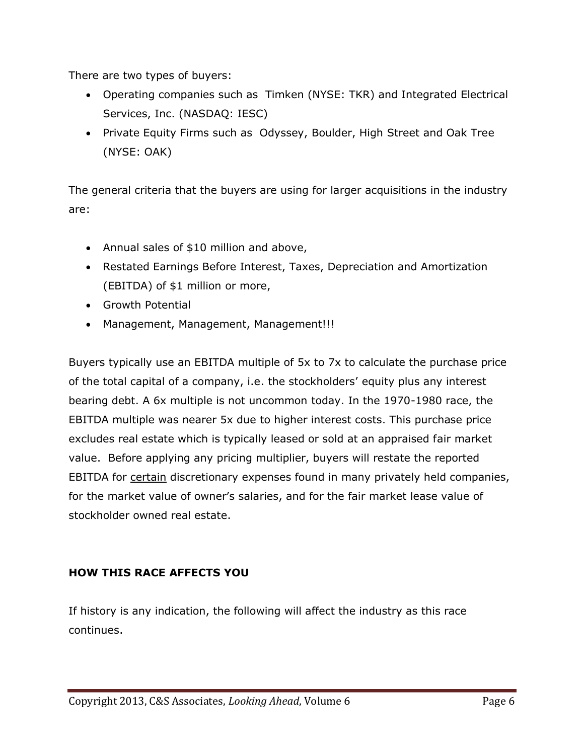There are two types of buyers:

- Operating companies such as Timken (NYSE: TKR) and Integrated Electrical Services, Inc. (NASDAQ: IESC)
- Private Equity Firms such as Odyssey, Boulder, High Street and Oak Tree (NYSE: OAK)

The general criteria that the buyers are using for larger acquisitions in the industry are:

- Annual sales of \$10 million and above,
- Restated Earnings Before Interest, Taxes, Depreciation and Amortization (EBITDA) of \$1 million or more,
- Growth Potential
- Management, Management, Management!!!

Buyers typically use an EBITDA multiple of 5x to 7x to calculate the purchase price of the total capital of a company, i.e. the stockholders' equity plus any interest bearing debt. A 6x multiple is not uncommon today. In the 1970-1980 race, the EBITDA multiple was nearer 5x due to higher interest costs. This purchase price excludes real estate which is typically leased or sold at an appraised fair market value. Before applying any pricing multiplier, buyers will restate the reported EBITDA for certain discretionary expenses found in many privately held companies, for the market value of owner's salaries, and for the fair market lease value of stockholder owned real estate.

### **HOW THIS RACE AFFECTS YOU**

If history is any indication, the following will affect the industry as this race continues.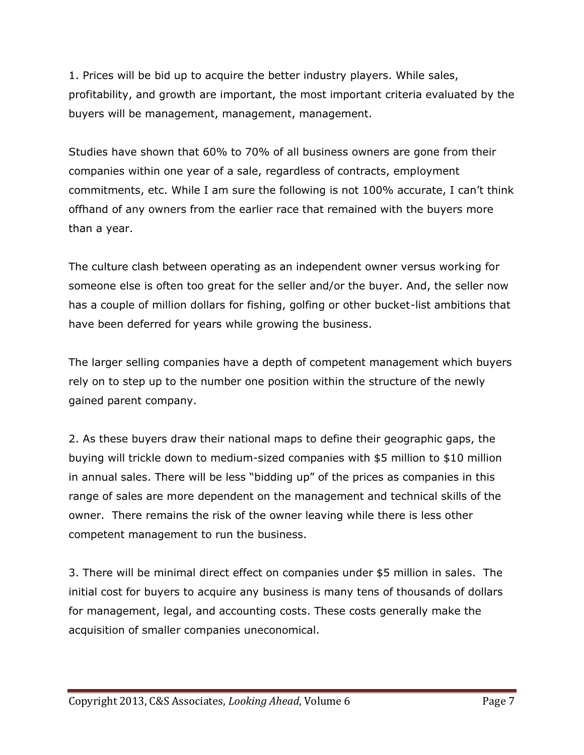1. Prices will be bid up to acquire the better industry players. While sales, profitability, and growth are important, the most important criteria evaluated by the buyers will be management, management, management.

Studies have shown that 60% to 70% of all business owners are gone from their companies within one year of a sale, regardless of contracts, employment commitments, etc. While I am sure the following is not 100% accurate, I can't think offhand of any owners from the earlier race that remained with the buyers more than a year.

The culture clash between operating as an independent owner versus working for someone else is often too great for the seller and/or the buyer. And, the seller now has a couple of million dollars for fishing, golfing or other bucket-list ambitions that have been deferred for years while growing the business.

The larger selling companies have a depth of competent management which buyers rely on to step up to the number one position within the structure of the newly gained parent company.

2. As these buyers draw their national maps to define their geographic gaps, the buying will trickle down to medium-sized companies with \$5 million to \$10 million in annual sales. There will be less "bidding up" of the prices as companies in this range of sales are more dependent on the management and technical skills of the owner. There remains the risk of the owner leaving while there is less other competent management to run the business.

3. There will be minimal direct effect on companies under \$5 million in sales. The initial cost for buyers to acquire any business is many tens of thousands of dollars for management, legal, and accounting costs. These costs generally make the acquisition of smaller companies uneconomical.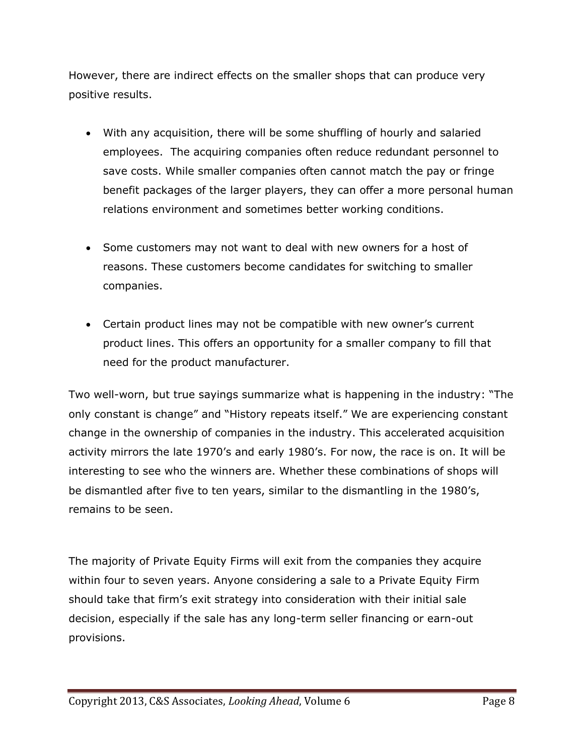However, there are indirect effects on the smaller shops that can produce very positive results.

- With any acquisition, there will be some shuffling of hourly and salaried employees. The acquiring companies often reduce redundant personnel to save costs. While smaller companies often cannot match the pay or fringe benefit packages of the larger players, they can offer a more personal human relations environment and sometimes better working conditions.
- Some customers may not want to deal with new owners for a host of reasons. These customers become candidates for switching to smaller companies.
- Certain product lines may not be compatible with new owner's current product lines. This offers an opportunity for a smaller company to fill that need for the product manufacturer.

Two well-worn, but true sayings summarize what is happening in the industry: "The only constant is change" and "History repeats itself." We are experiencing constant change in the ownership of companies in the industry. This accelerated acquisition activity mirrors the late 1970's and early 1980's. For now, the race is on. It will be interesting to see who the winners are. Whether these combinations of shops will be dismantled after five to ten years, similar to the dismantling in the 1980's, remains to be seen.

The majority of Private Equity Firms will exit from the companies they acquire within four to seven years. Anyone considering a sale to a Private Equity Firm should take that firm's exit strategy into consideration with their initial sale decision, especially if the sale has any long-term seller financing or earn-out provisions.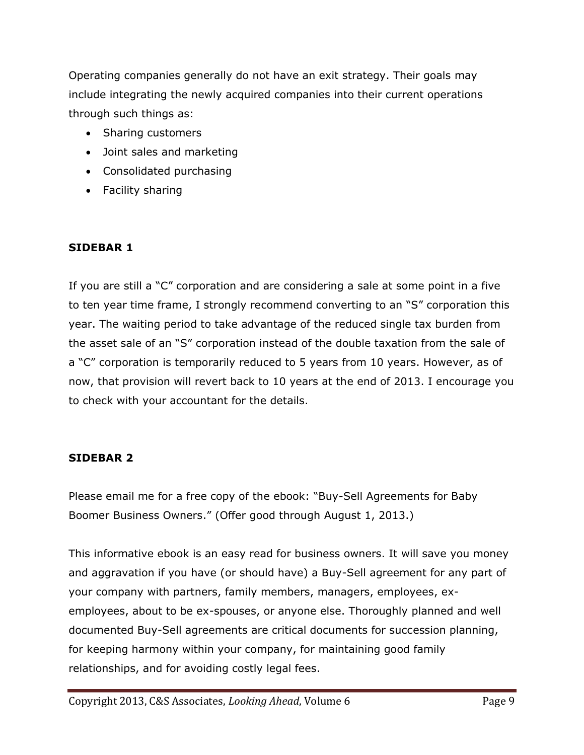Operating companies generally do not have an exit strategy. Their goals may include integrating the newly acquired companies into their current operations through such things as:

- Sharing customers
- Joint sales and marketing
- Consolidated purchasing
- Facility sharing

### **SIDEBAR 1**

If you are still a "C" corporation and are considering a sale at some point in a five to ten year time frame, I strongly recommend converting to an "S" corporation this year. The waiting period to take advantage of the reduced single tax burden from the asset sale of an "S" corporation instead of the double taxation from the sale of a "C" corporation is temporarily reduced to 5 years from 10 years. However, as of now, that provision will revert back to 10 years at the end of 2013. I encourage you to check with your accountant for the details.

### **SIDEBAR 2**

Please email me for a free copy of the ebook: "Buy-Sell Agreements for Baby Boomer Business Owners." (Offer good through August 1, 2013.)

This informative ebook is an easy read for business owners. It will save you money and aggravation if you have (or should have) a Buy-Sell agreement for any part of your company with partners, family members, managers, employees, exemployees, about to be ex-spouses, or anyone else. Thoroughly planned and well documented Buy-Sell agreements are critical documents for succession planning, for keeping harmony within your company, for maintaining good family relationships, and for avoiding costly legal fees.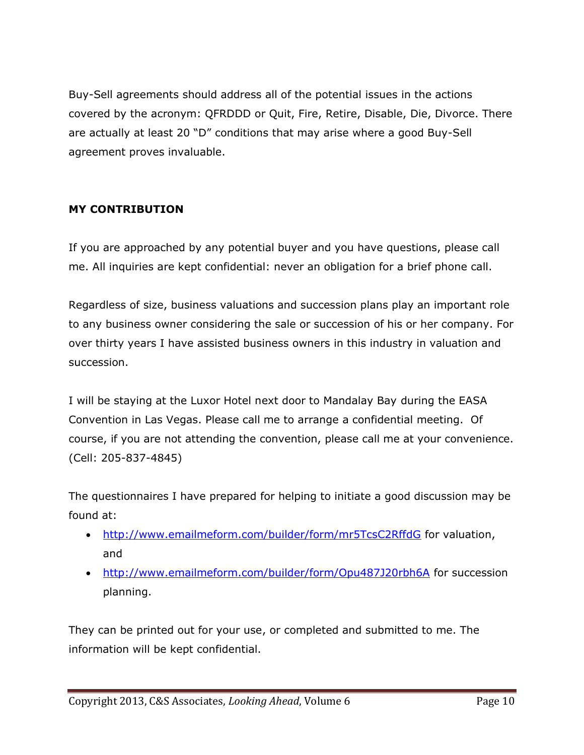Buy-Sell agreements should address all of the potential issues in the actions covered by the acronym: QFRDDD or Quit, Fire, Retire, Disable, Die, Divorce. There are actually at least 20 "D" conditions that may arise where a good Buy-Sell agreement proves invaluable.

## **MY CONTRIBUTION**

If you are approached by any potential buyer and you have questions, please call me. All inquiries are kept confidential: never an obligation for a brief phone call.

Regardless of size, business valuations and succession plans play an important role to any business owner considering the sale or succession of his or her company. For over thirty years I have assisted business owners in this industry in valuation and succession.

I will be staying at the Luxor Hotel next door to Mandalay Bay during the EASA Convention in Las Vegas. Please call me to arrange a confidential meeting. Of course, if you are not attending the convention, please call me at your convenience. (Cell: 205-837-4845)

The questionnaires I have prepared for helping to initiate a good discussion may be found at:

- <http://www.emailmeform.com/builder/form/mr5TcsC2RffdG> for valuation, and
- <http://www.emailmeform.com/builder/form/Opu487J20rbh6A> for succession planning.

They can be printed out for your use, or completed and submitted to me. The information will be kept confidential.